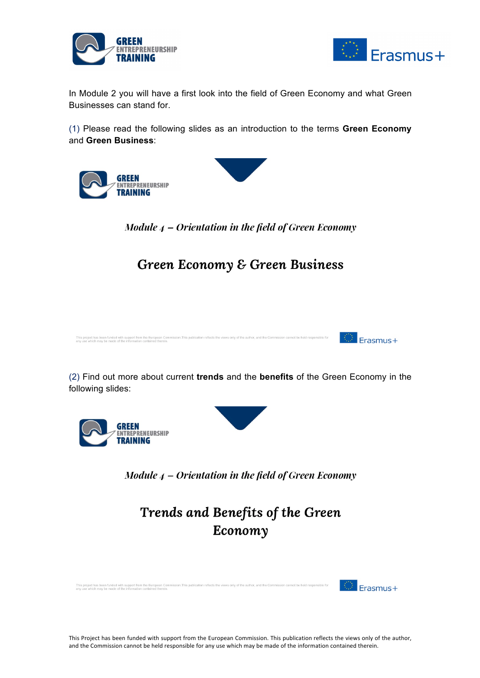



In Module 2 you will have a first look into the field of Green Economy and what Green Businesses can stand for.

(1) Please read the following slides as an introduction to the terms **Green Economy** and **Green Business**:

**GREEN** ENTREPRENEURSHIP **TRAINING** 



Module  $4$  – Orientation in the field of Green Economy

## **Green Economy & Green Business**



(2) Find out more about current **trends** and the **benefits** of the Green Economy in the following slides:





Module  $4$  – Orientation in the field of Green Economy

Trends and Benefits of the Green Economy

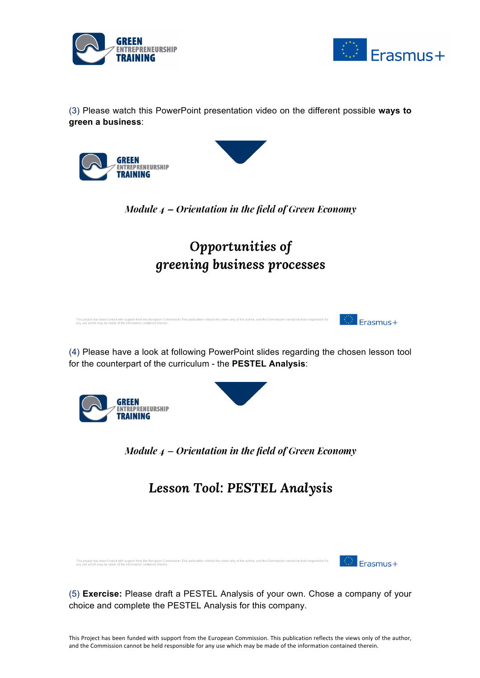



(3) Please watch this PowerPoint presentation video on the different possible **ways to green a business**:





## Opportunities of greening business processes

This project has been funded with support from the European Commission. This publication reflects the views only of the author, and the Con<br>any use which may be made of the information contained therein  $\frac{1}{2}$  Frasmus+

(4) Please have a look at following PowerPoint slides regarding the chosen lesson tool for the counterpart of the curriculum - the **PESTEL Analysis**:



Module  $4$  – Orientation in the field of Green Economy

**Lesson Tool: PESTEL Analysis** 

ion cannot be held responsible for This project has been funded with support from the European Commission. This publication reflects the views only of the author, and the Com<br>any use which may be made of the information contained therein.

Frasmus+

(5) **Exercise:** Please draft a PESTEL Analysis of your own. Chose a company of your choice and complete the PESTEL Analysis for this company.